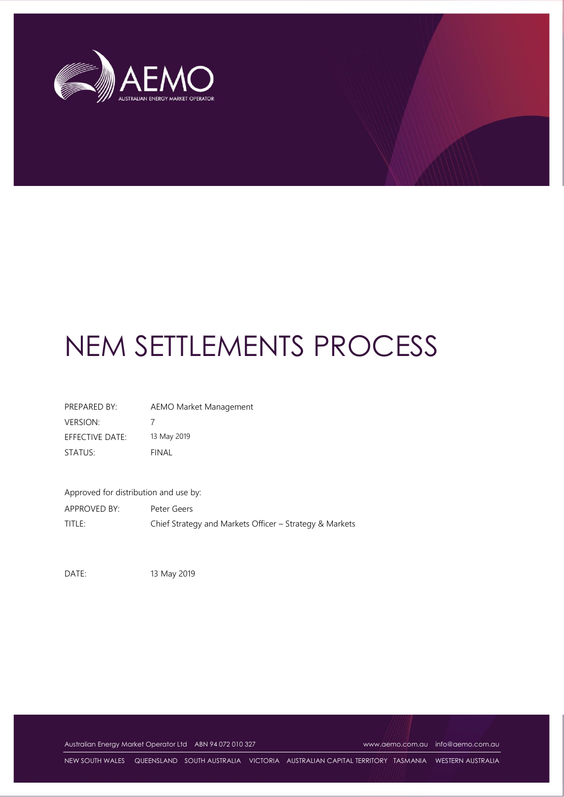

# NEM SETTLEMENTS PROCESS

| PREPARED BY:    | AEMO Market Management |
|-----------------|------------------------|
| <b>VERSION:</b> |                        |
| EFFECTIVE DATE: | 13 May 2019            |
| STATUS:         | FINAL                  |

Approved for distribution and use by:

APPROVED BY: Peter Geers TITLE: Chief Strategy and Markets Officer – Strategy & Markets

DATE: 13 May 2019

Australian Energy Market Operator Ltd ABN 94 072 010 327 [www.aemo.com.au](http://www.aemo.com.au/) [info@aemo.com.au](mailto:info@aemo.com.au)

NEW SOUTH WALES QUEENSLAND SOUTH AUSTRALIA VICTORIA AUSTRALIAN CAPITAL TERRITORY TASMANIA WESTERN AUSTRALIA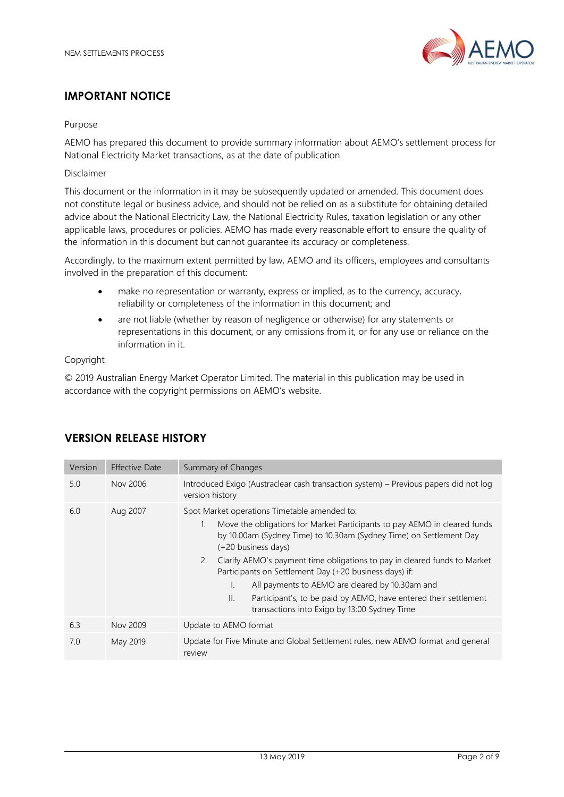

# **IMPORTANT NOTICE**

#### Purpose

AEMO has prepared this document to provide summary information about AEMO's settlement process for National Electricity Market transactions, as at the date of publication.

#### Disclaimer

This document or the information in it may be subsequently updated or amended. This document does not constitute legal or business advice, and should not be relied on as a substitute for obtaining detailed advice about the National Electricity Law, the National Electricity Rules, taxation legislation or any other applicable laws, procedures or policies. AEMO has made every reasonable effort to ensure the quality of the information in this document but cannot guarantee its accuracy or completeness.

Accordingly, to the maximum extent permitted by law, AEMO and its officers, employees and consultants involved in the preparation of this document:

- make no representation or warranty, express or implied, as to the currency, accuracy, reliability or completeness of the information in this document; and
- are not liable (whether by reason of negligence or otherwise) for any statements or representations in this document, or any omissions from it, or for any use or reliance on the information in it.

#### Copyright

© 2019 Australian Energy Market Operator Limited. The material in this publication may be used in accordance with the copyright permissions on AEMO's website.

| Version | <b>Effective Date</b> | Summary of Changes                                                                                                                                                                                                                                                                                                                                                                                                                                                                                                                                                        |
|---------|-----------------------|---------------------------------------------------------------------------------------------------------------------------------------------------------------------------------------------------------------------------------------------------------------------------------------------------------------------------------------------------------------------------------------------------------------------------------------------------------------------------------------------------------------------------------------------------------------------------|
| 5.0     | Nov 2006              | Introduced Exigo (Austraclear cash transaction system) - Previous papers did not log<br>version history                                                                                                                                                                                                                                                                                                                                                                                                                                                                   |
| 6.0     | Aug 2007              | Spot Market operations Timetable amended to:<br>Move the obligations for Market Participants to pay AEMO in cleared funds<br>1.<br>by 10.00am (Sydney Time) to 10.30am (Sydney Time) on Settlement Day<br>(+20 business days)<br>Clarify AEMO's payment time obligations to pay in cleared funds to Market<br>2.<br>Participants on Settlement Day (+20 business days) if:<br>All payments to AEMO are cleared by 10.30am and<br>L.<br>Participant's, to be paid by AEMO, have entered their settlement<br>$\mathbb{I}$ .<br>transactions into Exigo by 13:00 Sydney Time |
| 6.3     | Nov 2009              | Update to AEMO format                                                                                                                                                                                                                                                                                                                                                                                                                                                                                                                                                     |
| 7.0     | May 2019              | Update for Five Minute and Global Settlement rules, new AEMO format and general<br>review                                                                                                                                                                                                                                                                                                                                                                                                                                                                                 |

# **VERSION RELEASE HISTORY**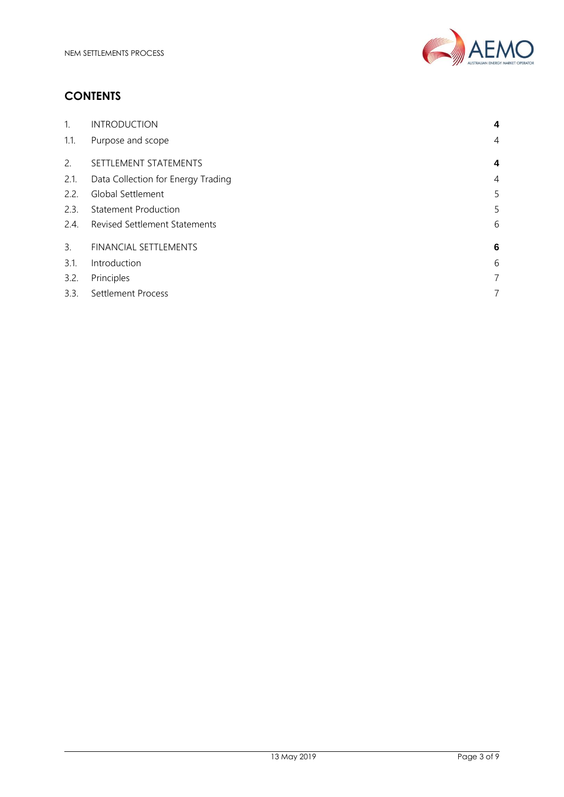

# **CONTENTS**

| <b>INTRODUCTION</b>                  | 4              |
|--------------------------------------|----------------|
| Purpose and scope                    | 4              |
| SETTLEMENT STATEMENTS                | 4              |
| Data Collection for Energy Trading   | $\overline{4}$ |
| Global Settlement                    | 5              |
| <b>Statement Production</b>          | 5              |
| <b>Revised Settlement Statements</b> | 6              |
| FINANCIAL SETTLEMENTS                | 6              |
| Introduction                         | 6              |
| Principles                           | 7              |
| Settlement Process                   | 7              |
|                                      |                |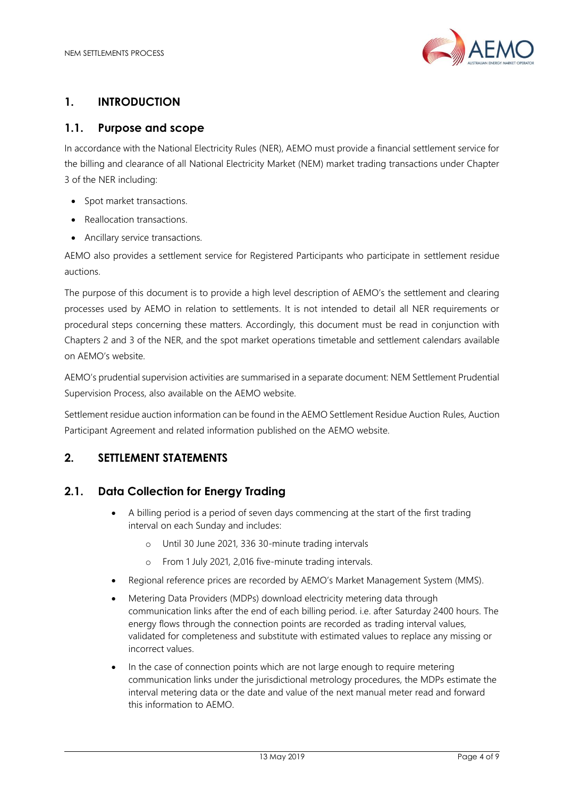

# <span id="page-3-0"></span>**1. INTRODUCTION**

# <span id="page-3-1"></span>**1.1. Purpose and scope**

In accordance with the National Electricity Rules (NER), AEMO must provide a financial settlement service for the billing and clearance of all National Electricity Market (NEM) market trading transactions under Chapter 3 of the NER including:

- Spot market transactions.
- Reallocation transactions.
- Ancillary service transactions.

AEMO also provides a settlement service for Registered Participants who participate in settlement residue auctions.

The purpose of this document is to provide a high level description of AEMO's the settlement and clearing processes used by AEMO in relation to settlements. It is not intended to detail all NER requirements or procedural steps concerning these matters. Accordingly, this document must be read in conjunction with Chapters 2 and 3 of the NER, and the spot market operations timetable and settlement calendars available on AEMO's website.

AEMO's prudential supervision activities are summarised in a separate document: NEM Settlement Prudential Supervision Process, also available on the AEMO website.

Settlement residue auction information can be found in the AEMO Settlement Residue Auction Rules, Auction Participant Agreement and related information published on the AEMO website.

# <span id="page-3-2"></span>**2. SETTLEMENT STATEMENTS**

# <span id="page-3-3"></span>**2.1. Data Collection for Energy Trading**

- A billing period is a period of seven days commencing at the start of the first trading interval on each Sunday and includes:
	- o Until 30 June 2021, 336 30-minute trading intervals
	- o From 1 July 2021, 2,016 five-minute trading intervals.
- Regional reference prices are recorded by AEMO's Market Management System (MMS).
- Metering Data Providers (MDPs) download electricity metering data through communication links after the end of each billing period. i.e. after Saturday 2400 hours. The energy flows through the connection points are recorded as trading interval values, validated for completeness and substitute with estimated values to replace any missing or incorrect values.
- In the case of connection points which are not large enough to require metering communication links under the jurisdictional metrology procedures, the MDPs estimate the interval metering data or the date and value of the next manual meter read and forward this information to AEMO.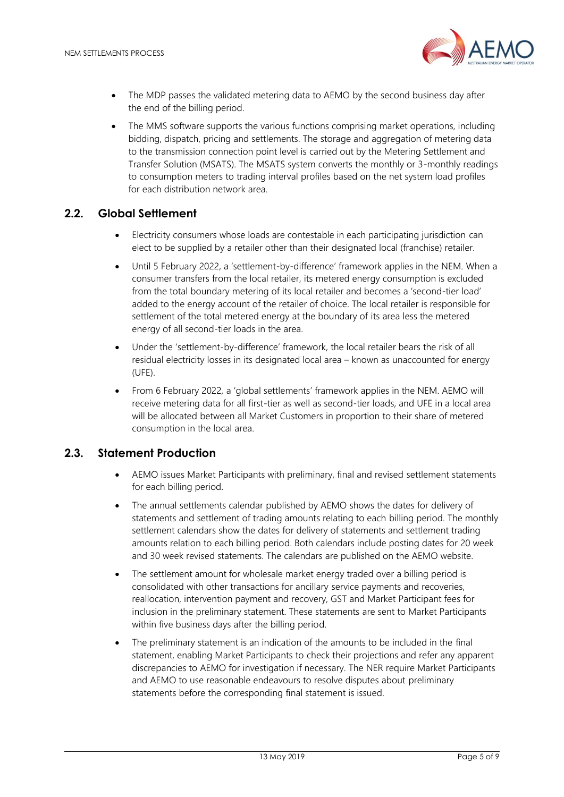

- The MDP passes the validated metering data to AEMO by the second business day after the end of the billing period.
- The MMS software supports the various functions comprising market operations, including bidding, dispatch, pricing and settlements. The storage and aggregation of metering data to the transmission connection point level is carried out by the Metering Settlement and Transfer Solution (MSATS). The MSATS system converts the monthly or 3-monthly readings to consumption meters to trading interval profiles based on the net system load profiles for each distribution network area.

#### <span id="page-4-0"></span>**2.2. Global Settlement**

- Electricity consumers whose loads are contestable in each participating jurisdiction can elect to be supplied by a retailer other than their designated local (franchise) retailer.
- Until 5 February 2022, a 'settlement-by-difference' framework applies in the NEM. When a consumer transfers from the local retailer, its metered energy consumption is excluded from the total boundary metering of its local retailer and becomes a 'second-tier load' added to the energy account of the retailer of choice. The local retailer is responsible for settlement of the total metered energy at the boundary of its area less the metered energy of all second-tier loads in the area.
- Under the 'settlement-by-difference' framework, the local retailer bears the risk of all residual electricity losses in its designated local area – known as unaccounted for energy (UFE).
- From 6 February 2022, a 'global settlements' framework applies in the NEM. AEMO will receive metering data for all first-tier as well as second-tier loads, and UFE in a local area will be allocated between all Market Customers in proportion to their share of metered consumption in the local area.

#### <span id="page-4-1"></span>**2.3. Statement Production**

- AEMO issues Market Participants with preliminary, final and revised settlement statements for each billing period.
- The annual settlements calendar published by AEMO shows the dates for delivery of statements and settlement of trading amounts relating to each billing period. The monthly settlement calendars show the dates for delivery of statements and settlement trading amounts relation to each billing period. Both calendars include posting dates for 20 week and 30 week revised statements. The calendars are published on the AEMO website.
- The settlement amount for wholesale market energy traded over a billing period is consolidated with other transactions for ancillary service payments and recoveries, reallocation, intervention payment and recovery, GST and Market Participant fees for inclusion in the preliminary statement. These statements are sent to Market Participants within five business days after the billing period.
- The preliminary statement is an indication of the amounts to be included in the final statement, enabling Market Participants to check their projections and refer any apparent discrepancies to AEMO for investigation if necessary. The NER require Market Participants and AEMO to use reasonable endeavours to resolve disputes about preliminary statements before the corresponding final statement is issued.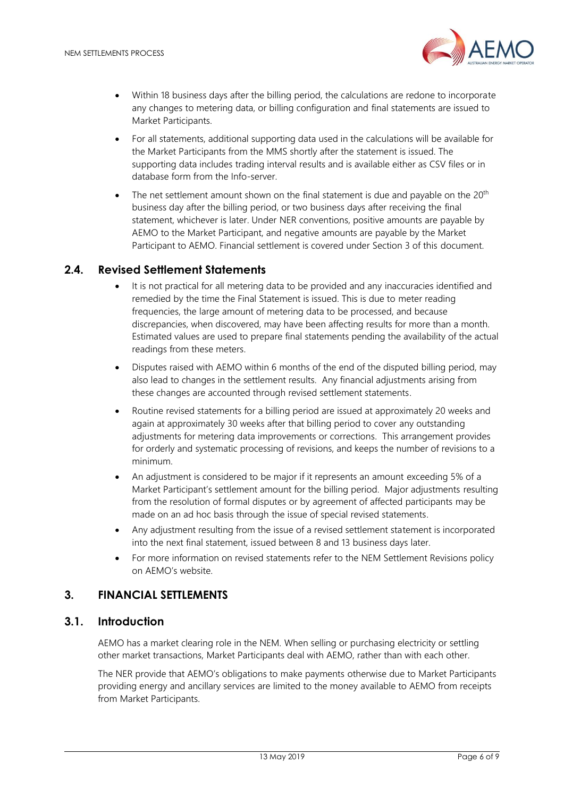

- Within 18 business days after the billing period, the calculations are redone to incorporate any changes to metering data, or billing configuration and final statements are issued to Market Participants.
- For all statements, additional supporting data used in the calculations will be available for the Market Participants from the MMS shortly after the statement is issued. The supporting data includes trading interval results and is available either as CSV files or in database form from the Info-server.
- The net settlement amount shown on the final statement is due and payable on the 20<sup>th</sup> business day after the billing period, or two business days after receiving the final statement, whichever is later. Under NER conventions, positive amounts are payable by AEMO to the Market Participant, and negative amounts are payable by the Market Participant to AEMO. Financial settlement is covered under Section 3 of this document.

# <span id="page-5-0"></span>**2.4. Revised Settlement Statements**

- It is not practical for all metering data to be provided and any inaccuracies identified and remedied by the time the Final Statement is issued. This is due to meter reading frequencies, the large amount of metering data to be processed, and because discrepancies, when discovered, may have been affecting results for more than a month. Estimated values are used to prepare final statements pending the availability of the actual readings from these meters.
- Disputes raised with AEMO within 6 months of the end of the disputed billing period, may also lead to changes in the settlement results. Any financial adjustments arising from these changes are accounted through revised settlement statements.
- Routine revised statements for a billing period are issued at approximately 20 weeks and again at approximately 30 weeks after that billing period to cover any outstanding adjustments for metering data improvements or corrections. This arrangement provides for orderly and systematic processing of revisions, and keeps the number of revisions to a minimum.
- An adjustment is considered to be major if it represents an amount exceeding 5% of a Market Participant's settlement amount for the billing period. Major adjustments resulting from the resolution of formal disputes or by agreement of affected participants may be made on an ad hoc basis through the issue of special revised statements.
- Any adjustment resulting from the issue of a revised settlement statement is incorporated into the next final statement, issued between 8 and 13 business days later.
- For more information on revised statements refer to the NEM Settlement Revisions policy on AEMO's website.

#### <span id="page-5-1"></span>**3. FINANCIAL SETTLEMENTS**

#### <span id="page-5-2"></span>**3.1. Introduction**

AEMO has a market clearing role in the NEM. When selling or purchasing electricity or settling other market transactions, Market Participants deal with AEMO, rather than with each other.

The NER provide that AEMO's obligations to make payments otherwise due to Market Participants providing energy and ancillary services are limited to the money available to AEMO from receipts from Market Participants.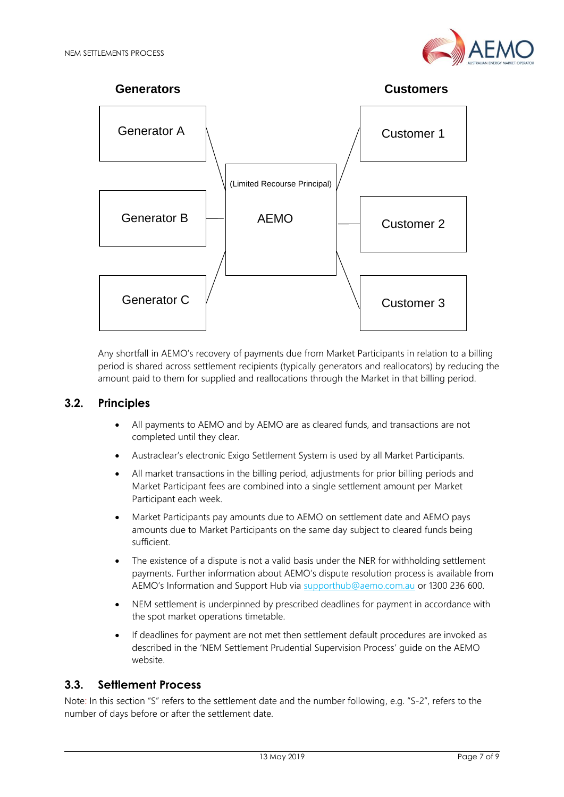



Any shortfall in AEMO's recovery of payments due from Market Participants in relation to a billing period is shared across settlement recipients (typically generators and reallocators) by reducing the amount paid to them for supplied and reallocations through the Market in that billing period.

# <span id="page-6-0"></span>**3.2. Principles**

- All payments to AEMO and by AEMO are as cleared funds, and transactions are not completed until they clear.
- Austraclear's electronic Exigo Settlement System is used by all Market Participants.
- All market transactions in the billing period, adjustments for prior billing periods and Market Participant fees are combined into a single settlement amount per Market Participant each week.
- Market Participants pay amounts due to AEMO on settlement date and AEMO pays amounts due to Market Participants on the same day subject to cleared funds being sufficient.
- The existence of a dispute is not a valid basis under the NER for withholding settlement payments. Further information about AEMO's dispute resolution process is available from AEMO's Information and Support Hub via [supporthub@aemo.com.au](mailto:supporthub@aemo.com.au) or 1300 236 600.
- NEM settlement is underpinned by prescribed deadlines for payment in accordance with the spot market operations timetable.
- If deadlines for payment are not met then settlement default procedures are invoked as described in the 'NEM Settlement Prudential Supervision Process' guide on the AEMO website.

# <span id="page-6-1"></span>**3.3. Settlement Process**

Note: In this section "S" refers to the settlement date and the number following, e.g. "S-2", refers to the number of days before or after the settlement date.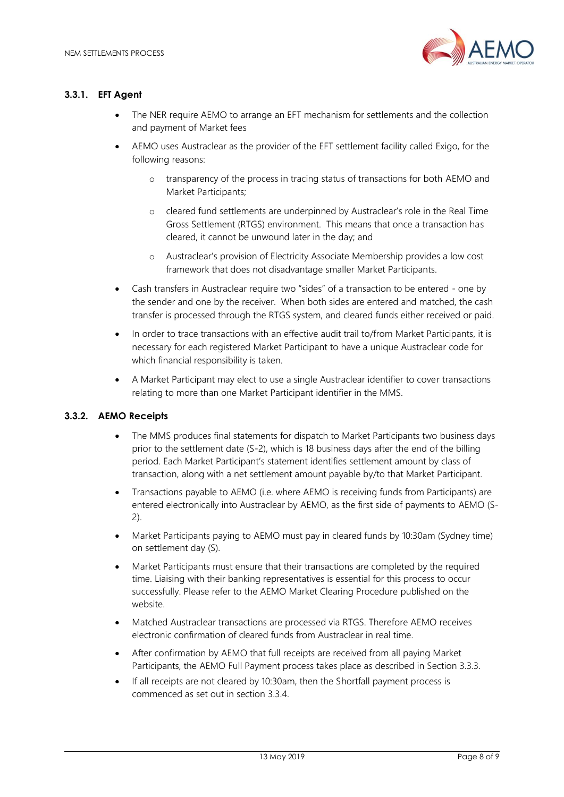

#### **3.3.1. EFT Agent**

- The NER require AEMO to arrange an EFT mechanism for settlements and the collection and payment of Market fees
- AEMO uses Austraclear as the provider of the EFT settlement facility called Exigo, for the following reasons:
	- o transparency of the process in tracing status of transactions for both AEMO and Market Participants;
	- o cleared fund settlements are underpinned by Austraclear's role in the Real Time Gross Settlement (RTGS) environment. This means that once a transaction has cleared, it cannot be unwound later in the day; and
	- o Austraclear's provision of Electricity Associate Membership provides a low cost framework that does not disadvantage smaller Market Participants.
- Cash transfers in Austraclear require two "sides" of a transaction to be entered one by the sender and one by the receiver. When both sides are entered and matched, the cash transfer is processed through the RTGS system, and cleared funds either received or paid.
- In order to trace transactions with an effective audit trail to/from Market Participants, it is necessary for each registered Market Participant to have a unique Austraclear code for which financial responsibility is taken.
- A Market Participant may elect to use a single Austraclear identifier to cover transactions relating to more than one Market Participant identifier in the MMS.

#### **3.3.2. AEMO Receipts**

- The MMS produces final statements for dispatch to Market Participants two business days prior to the settlement date (S-2), which is 18 business days after the end of the billing period. Each Market Participant's statement identifies settlement amount by class of transaction, along with a net settlement amount payable by/to that Market Participant.
- Transactions payable to AEMO (i.e. where AEMO is receiving funds from Participants) are entered electronically into Austraclear by AEMO, as the first side of payments to AEMO (S-2).
- Market Participants paying to AEMO must pay in cleared funds by 10:30am (Sydney time) on settlement day (S).
- Market Participants must ensure that their transactions are completed by the required time. Liaising with their banking representatives is essential for this process to occur successfully. Please refer to the AEMO Market Clearing Procedure published on the website.
- Matched Austraclear transactions are processed via RTGS. Therefore AEMO receives electronic confirmation of cleared funds from Austraclear in real time.
- After confirmation by AEMO that full receipts are received from all paying Market Participants, the AEMO Full Payment process takes place as described in Section 3.3.3.
- If all receipts are not cleared by 10:30am, then the Shortfall payment process is commenced as set out in section 3.3.4.